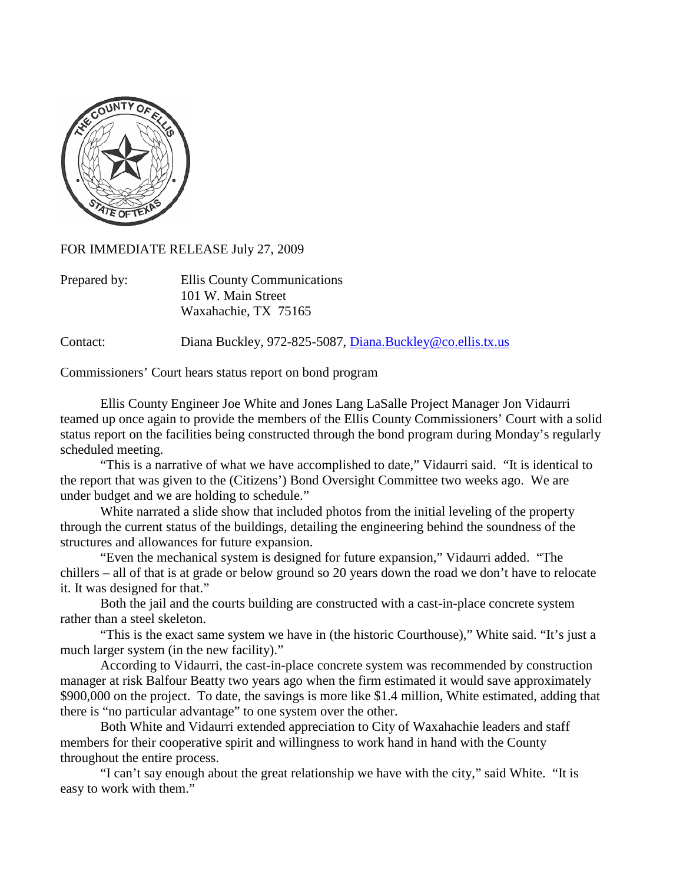

FOR IMMEDIATE RELEASE July 27, 2009

| Prepared by: | Ellis County Communications |
|--------------|-----------------------------|
|              | 101 W. Main Street          |
|              | Waxahachie, TX 75165        |

Contact: Diana Buckley, 972-825-5087, [Diana.Buckley@co.ellis.tx.us](mailto:Diana.Buckley@co.ellis.tx.us)

Commissioners' Court hears status report on bond program

Ellis County Engineer Joe White and Jones Lang LaSalle Project Manager Jon Vidaurri teamed up once again to provide the members of the Ellis County Commissioners' Court with a solid status report on the facilities being constructed through the bond program during Monday's regularly scheduled meeting.

"This is a narrative of what we have accomplished to date," Vidaurri said. "It is identical to the report that was given to the (Citizens') Bond Oversight Committee two weeks ago. We are under budget and we are holding to schedule."

White narrated a slide show that included photos from the initial leveling of the property through the current status of the buildings, detailing the engineering behind the soundness of the structures and allowances for future expansion.

"Even the mechanical system is designed for future expansion," Vidaurri added. "The chillers – all of that is at grade or below ground so 20 years down the road we don't have to relocate it. It was designed for that."

Both the jail and the courts building are constructed with a cast-in-place concrete system rather than a steel skeleton.

"This is the exact same system we have in (the historic Courthouse)," White said. "It's just a much larger system (in the new facility)."

According to Vidaurri, the cast-in-place concrete system was recommended by construction manager at risk Balfour Beatty two years ago when the firm estimated it would save approximately \$900,000 on the project. To date, the savings is more like \$1.4 million, White estimated, adding that there is "no particular advantage" to one system over the other.

Both White and Vidaurri extended appreciation to City of Waxahachie leaders and staff members for their cooperative spirit and willingness to work hand in hand with the County throughout the entire process.

"I can't say enough about the great relationship we have with the city," said White. "It is easy to work with them."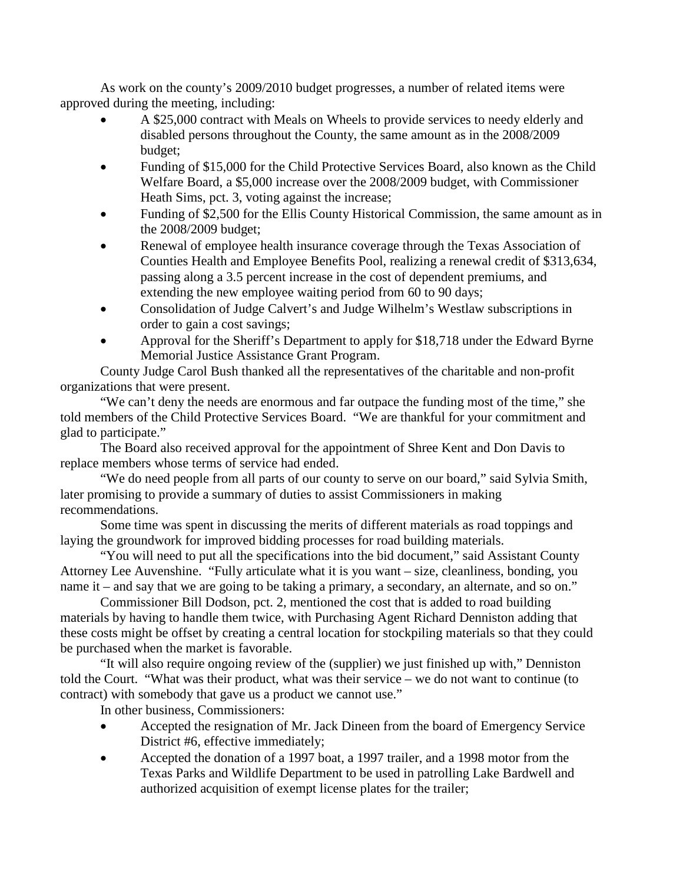As work on the county's 2009/2010 budget progresses, a number of related items were approved during the meeting, including:

- A \$25,000 contract with Meals on Wheels to provide services to needy elderly and disabled persons throughout the County, the same amount as in the 2008/2009 budget;
- Funding of \$15,000 for the Child Protective Services Board, also known as the Child Welfare Board, a \$5,000 increase over the 2008/2009 budget, with Commissioner Heath Sims, pct. 3, voting against the increase;
- Funding of \$2,500 for the Ellis County Historical Commission, the same amount as in the 2008/2009 budget;
- Renewal of employee health insurance coverage through the Texas Association of Counties Health and Employee Benefits Pool, realizing a renewal credit of \$313,634, passing along a 3.5 percent increase in the cost of dependent premiums, and extending the new employee waiting period from 60 to 90 days;
- Consolidation of Judge Calvert's and Judge Wilhelm's Westlaw subscriptions in order to gain a cost savings;
- Approval for the Sheriff's Department to apply for \$18,718 under the Edward Byrne Memorial Justice Assistance Grant Program.

County Judge Carol Bush thanked all the representatives of the charitable and non-profit organizations that were present.

"We can't deny the needs are enormous and far outpace the funding most of the time," she told members of the Child Protective Services Board. "We are thankful for your commitment and glad to participate."

The Board also received approval for the appointment of Shree Kent and Don Davis to replace members whose terms of service had ended.

"We do need people from all parts of our county to serve on our board," said Sylvia Smith, later promising to provide a summary of duties to assist Commissioners in making recommendations.

Some time was spent in discussing the merits of different materials as road toppings and laying the groundwork for improved bidding processes for road building materials.

"You will need to put all the specifications into the bid document," said Assistant County Attorney Lee Auvenshine. "Fully articulate what it is you want – size, cleanliness, bonding, you name it – and say that we are going to be taking a primary, a secondary, an alternate, and so on."

Commissioner Bill Dodson, pct. 2, mentioned the cost that is added to road building materials by having to handle them twice, with Purchasing Agent Richard Denniston adding that these costs might be offset by creating a central location for stockpiling materials so that they could be purchased when the market is favorable.

"It will also require ongoing review of the (supplier) we just finished up with," Denniston told the Court. "What was their product, what was their service – we do not want to continue (to contract) with somebody that gave us a product we cannot use."

In other business, Commissioners:

- Accepted the resignation of Mr. Jack Dineen from the board of Emergency Service District #6, effective immediately;
- Accepted the donation of a 1997 boat, a 1997 trailer, and a 1998 motor from the Texas Parks and Wildlife Department to be used in patrolling Lake Bardwell and authorized acquisition of exempt license plates for the trailer;